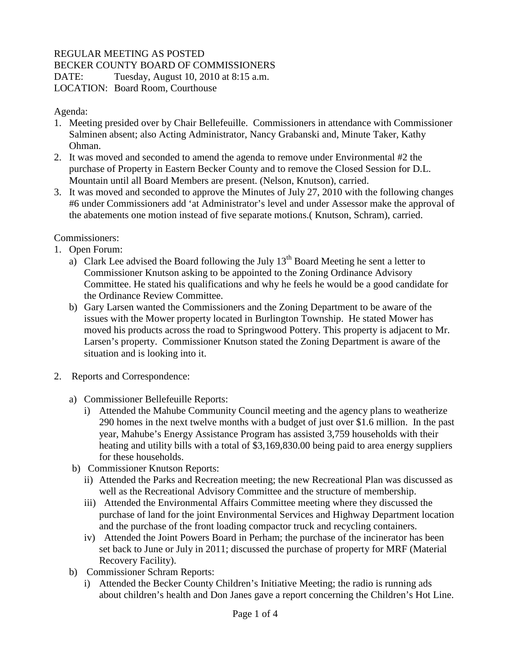## REGULAR MEETING AS POSTED

BECKER COUNTY BOARD OF COMMISSIONERS

DATE: Tuesday, August 10, 2010 at 8:15 a.m.

LOCATION: Board Room, Courthouse

Agenda:

- 1. Meeting presided over by Chair Bellefeuille. Commissioners in attendance with Commissioner Salminen absent; also Acting Administrator, Nancy Grabanski and, Minute Taker, Kathy Ohman.
- 2. It was moved and seconded to amend the agenda to remove under Environmental #2 the purchase of Property in Eastern Becker County and to remove the Closed Session for D.L. Mountain until all Board Members are present. (Nelson, Knutson), carried.
- 3. It was moved and seconded to approve the Minutes of July 27, 2010 with the following changes #6 under Commissioners add 'at Administrator's level and under Assessor make the approval of the abatements one motion instead of five separate motions.( Knutson, Schram), carried.

Commissioners:

- 1. Open Forum:
	- a) Clark Lee advised the Board following the July  $13<sup>th</sup>$  Board Meeting he sent a letter to Commissioner Knutson asking to be appointed to the Zoning Ordinance Advisory Committee. He stated his qualifications and why he feels he would be a good candidate for the Ordinance Review Committee.
	- b) Gary Larsen wanted the Commissioners and the Zoning Department to be aware of the issues with the Mower property located in Burlington Township. He stated Mower has moved his products across the road to Springwood Pottery. This property is adjacent to Mr. Larsen's property. Commissioner Knutson stated the Zoning Department is aware of the situation and is looking into it.
- 2. Reports and Correspondence:
	- a) Commissioner Bellefeuille Reports:
		- i) Attended the Mahube Community Council meeting and the agency plans to weatherize 290 homes in the next twelve months with a budget of just over \$1.6 million. In the past year, Mahube's Energy Assistance Program has assisted 3,759 households with their heating and utility bills with a total of \$3,169,830.00 being paid to area energy suppliers for these households.
	- b) Commissioner Knutson Reports:
		- ii) Attended the Parks and Recreation meeting; the new Recreational Plan was discussed as well as the Recreational Advisory Committee and the structure of membership.
		- iii) Attended the Environmental Affairs Committee meeting where they discussed the purchase of land for the joint Environmental Services and Highway Department location and the purchase of the front loading compactor truck and recycling containers.
		- iv) Attended the Joint Powers Board in Perham; the purchase of the incinerator has been set back to June or July in 2011; discussed the purchase of property for MRF (Material Recovery Facility).
	- b) Commissioner Schram Reports:
		- i) Attended the Becker County Children's Initiative Meeting; the radio is running ads about children's health and Don Janes gave a report concerning the Children's Hot Line.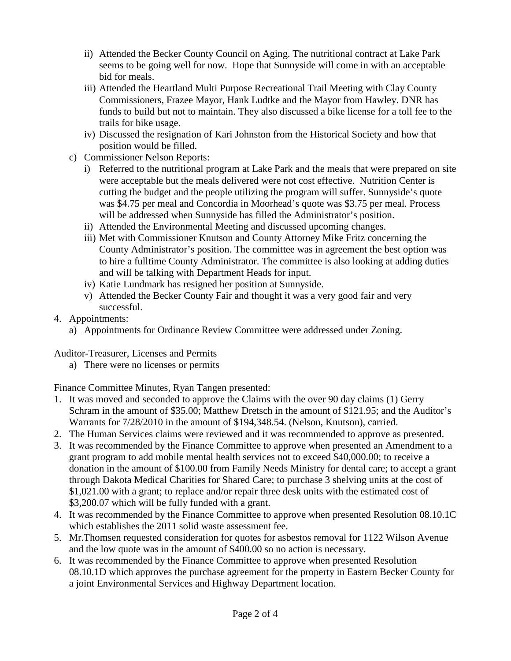- ii) Attended the Becker County Council on Aging. The nutritional contract at Lake Park seems to be going well for now. Hope that Sunnyside will come in with an acceptable bid for meals.
- iii) Attended the Heartland Multi Purpose Recreational Trail Meeting with Clay County Commissioners, Frazee Mayor, Hank Ludtke and the Mayor from Hawley. DNR has funds to build but not to maintain. They also discussed a bike license for a toll fee to the trails for bike usage.
- iv) Discussed the resignation of Kari Johnston from the Historical Society and how that position would be filled.
- c) Commissioner Nelson Reports:
	- i) Referred to the nutritional program at Lake Park and the meals that were prepared on site were acceptable but the meals delivered were not cost effective. Nutrition Center is cutting the budget and the people utilizing the program will suffer. Sunnyside's quote was \$4.75 per meal and Concordia in Moorhead's quote was \$3.75 per meal. Process will be addressed when Sunnyside has filled the Administrator's position.
	- ii) Attended the Environmental Meeting and discussed upcoming changes.
	- iii) Met with Commissioner Knutson and County Attorney Mike Fritz concerning the County Administrator's position. The committee was in agreement the best option was to hire a fulltime County Administrator. The committee is also looking at adding duties and will be talking with Department Heads for input.
	- iv) Katie Lundmark has resigned her position at Sunnyside.
	- v) Attended the Becker County Fair and thought it was a very good fair and very successful.
- 4. Appointments:
	- a) Appointments for Ordinance Review Committee were addressed under Zoning.

Auditor-Treasurer, Licenses and Permits

a) There were no licenses or permits

Finance Committee Minutes, Ryan Tangen presented:

- 1. It was moved and seconded to approve the Claims with the over 90 day claims (1) Gerry Schram in the amount of \$35.00; Matthew Dretsch in the amount of \$121.95; and the Auditor's Warrants for 7/28/2010 in the amount of \$194,348.54. (Nelson, Knutson), carried.
- 2. The Human Services claims were reviewed and it was recommended to approve as presented.
- 3. It was recommended by the Finance Committee to approve when presented an Amendment to a grant program to add mobile mental health services not to exceed \$40,000.00; to receive a donation in the amount of \$100.00 from Family Needs Ministry for dental care; to accept a grant through Dakota Medical Charities for Shared Care; to purchase 3 shelving units at the cost of \$1,021.00 with a grant; to replace and/or repair three desk units with the estimated cost of \$3,200.07 which will be fully funded with a grant.
- 4. It was recommended by the Finance Committee to approve when presented Resolution 08.10.1C which establishes the 2011 solid waste assessment fee.
- 5. Mr.Thomsen requested consideration for quotes for asbestos removal for 1122 Wilson Avenue and the low quote was in the amount of \$400.00 so no action is necessary.
- 6. It was recommended by the Finance Committee to approve when presented Resolution 08.10.1D which approves the purchase agreement for the property in Eastern Becker County for a joint Environmental Services and Highway Department location.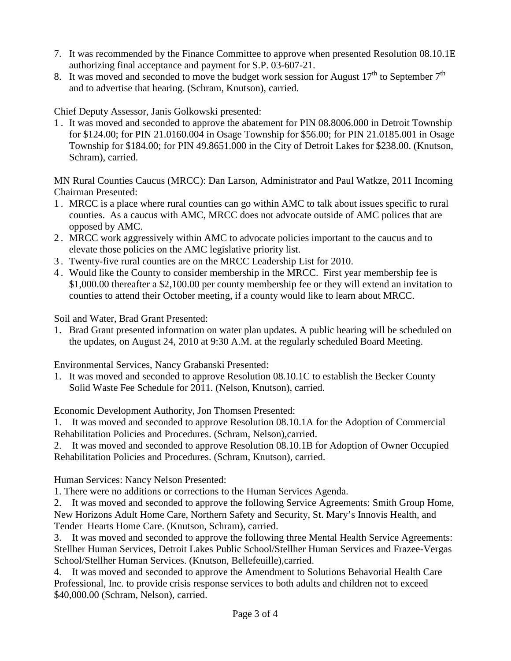- 7. It was recommended by the Finance Committee to approve when presented Resolution 08.10.1E authorizing final acceptance and payment for S.P. 03-607-21.
- 8. It was moved and seconded to move the budget work session for August  $17<sup>th</sup>$  to September  $7<sup>th</sup>$ and to advertise that hearing. (Schram, Knutson), carried.

Chief Deputy Assessor, Janis Golkowski presented:

1 . It was moved and seconded to approve the abatement for PIN 08.8006.000 in Detroit Township for \$124.00; for PIN 21.0160.004 in Osage Township for \$56.00; for PIN 21.0185.001 in Osage Township for \$184.00; for PIN 49.8651.000 in the City of Detroit Lakes for \$238.00. (Knutson, Schram), carried.

MN Rural Counties Caucus (MRCC): Dan Larson, Administrator and Paul Watkze, 2011 Incoming Chairman Presented:

- 1 . MRCC is a place where rural counties can go within AMC to talk about issues specific to rural counties. As a caucus with AMC, MRCC does not advocate outside of AMC polices that are opposed by AMC.
- 2 . MRCC work aggressively within AMC to advocate policies important to the caucus and to elevate those policies on the AMC legislative priority list.
- 3 . Twenty-five rural counties are on the MRCC Leadership List for 2010.
- 4 . Would like the County to consider membership in the MRCC. First year membership fee is \$1,000.00 thereafter a \$2,100.00 per county membership fee or they will extend an invitation to counties to attend their October meeting, if a county would like to learn about MRCC.

Soil and Water, Brad Grant Presented:

1. Brad Grant presented information on water plan updates. A public hearing will be scheduled on the updates, on August 24, 2010 at 9:30 A.M. at the regularly scheduled Board Meeting.

Environmental Services, Nancy Grabanski Presented:

1. It was moved and seconded to approve Resolution 08.10.1C to establish the Becker County Solid Waste Fee Schedule for 2011. (Nelson, Knutson), carried.

Economic Development Authority, Jon Thomsen Presented:

1. It was moved and seconded to approve Resolution 08.10.1A for the Adoption of Commercial Rehabilitation Policies and Procedures. (Schram, Nelson),carried.

2. It was moved and seconded to approve Resolution 08.10.1B for Adoption of Owner Occupied Rehabilitation Policies and Procedures. (Schram, Knutson), carried.

Human Services: Nancy Nelson Presented:

1. There were no additions or corrections to the Human Services Agenda.

2. It was moved and seconded to approve the following Service Agreements: Smith Group Home, New Horizons Adult Home Care, Northern Safety and Security, St. Mary's Innovis Health, and Tender Hearts Home Care. (Knutson, Schram), carried.

3. It was moved and seconded to approve the following three Mental Health Service Agreements: Stellher Human Services, Detroit Lakes Public School/Stellher Human Services and Frazee-Vergas School/Stellher Human Services. (Knutson, Bellefeuille),carried.

4. It was moved and seconded to approve the Amendment to Solutions Behavorial Health Care Professional, Inc. to provide crisis response services to both adults and children not to exceed \$40,000.00 (Schram, Nelson), carried.